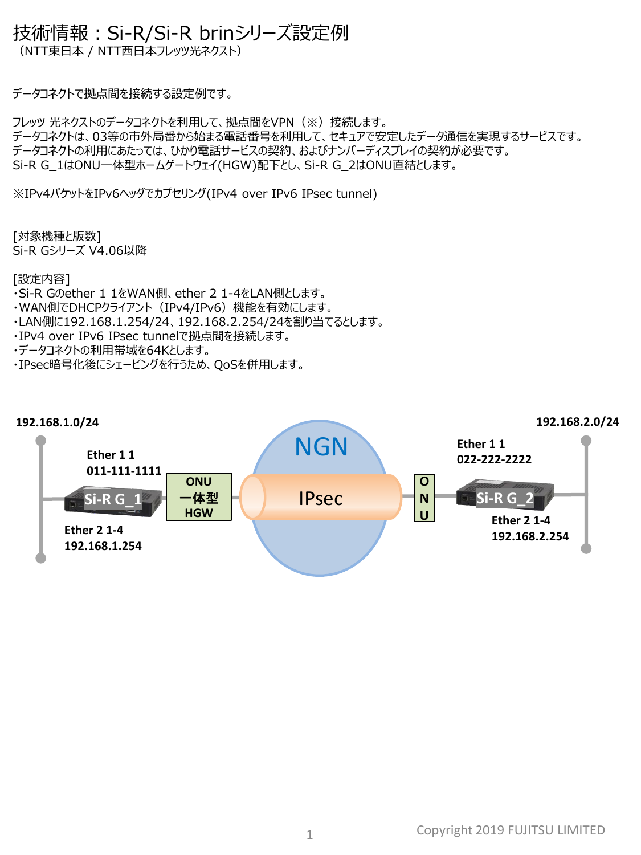## 技術情報:Si-R/Si-R brinシリーズ設定例

(NTT東日本 / NTT西日本フレッツ光ネクスト)

データコネクトで拠点間を接続する設定例です。

フレッツ 光ネクストのデータコネクトを利用して、拠点間をVPN(※)接続します。 データコネクトは、03等の市外局番から始まる電話番号を利用して、セキュアで安定したデータ通信を実現するサービスです。 データコネクトの利用にあたっては、ひかり電話サービスの契約、およびナンバーディスプレイの契約が必要です。 Si-R G\_1はONU一体型ホームゲートウェイ(HGW)配下とし、Si-R G\_2はONU直結とします。

※IPv4パケットをIPv6ヘッダでカプセリング(IPv4 over IPv6 IPsec tunnel)

[対象機種と版数] Si-R Gシリーズ V4.06以降

[設定内容]

- ・Si-R Gのether 1 1をWAN側、ether 2 1-4をLAN側とします。
- ・WAN側でDHCPクライアント(IPv4/IPv6)機能を有効にします。
- ・LAN側に192.168.1.254/24、192.168.2.254/24を割り当てるとします。
- ・IPv4 over IPv6 IPsec tunnelで拠点間を接続します。
- ・データコネクトの利用帯域を64Kとします。
- ・IPsec暗号化後にシェーピングを行うため、QoSを併用します。

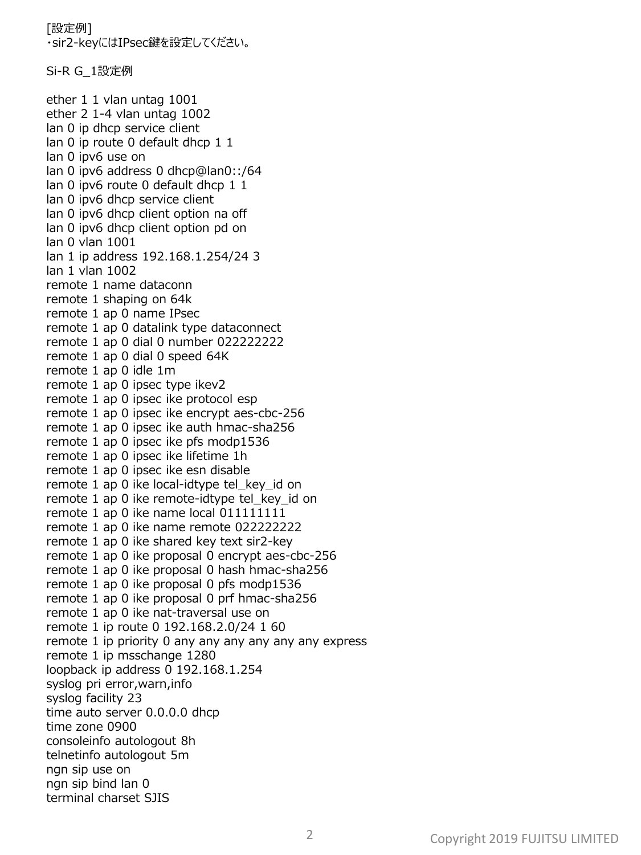[設定例] ・sir2-keyにはIPsec鍵を設定してください。

Si-R G\_1設定例

ether 1 1 vlan untag 1001 ether 2 1-4 vlan untag 1002 lan 0 ip dhcp service client lan 0 ip route 0 default dhcp 1 1 lan 0 ipv6 use on lan 0 ipv6 address 0 dhcp@lan0::/64 lan 0 ipv6 route 0 default dhcp 1 1 lan 0 ipv6 dhcp service client lan 0 ipv6 dhcp client option na off lan 0 ipv6 dhcp client option pd on lan 0 vlan 1001 lan 1 ip address 192.168.1.254/24 3 lan 1 vlan 1002 remote 1 name dataconn remote 1 shaping on 64k remote 1 ap 0 name IPsec remote 1 ap 0 datalink type dataconnect remote 1 ap 0 dial 0 number 022222222 remote 1 ap 0 dial 0 speed 64K remote 1 ap 0 idle 1m remote 1 ap 0 ipsec type ikev2 remote 1 ap 0 ipsec ike protocol esp remote 1 ap 0 ipsec ike encrypt aes-cbc-256 remote 1 ap 0 ipsec ike auth hmac-sha256 remote 1 ap 0 ipsec ike pfs modp1536 remote 1 ap 0 ipsec ike lifetime 1h remote 1 ap 0 ipsec ike esn disable remote 1 ap 0 ike local-idtype tel key id on remote 1 ap 0 ike remote-idtype tel\_key\_id on remote 1 ap 0 ike name local 011111111 remote 1 ap 0 ike name remote 022222222 remote 1 ap 0 ike shared key text sir2-key remote 1 ap 0 ike proposal 0 encrypt aes-cbc-256 remote 1 ap 0 ike proposal 0 hash hmac-sha256 remote 1 ap 0 ike proposal 0 pfs modp1536 remote 1 ap 0 ike proposal 0 prf hmac-sha256 remote 1 ap 0 ike nat-traversal use on remote 1 ip route 0 192.168.2.0/24 1 60 remote 1 ip priority 0 any any any any any any express remote 1 ip msschange 1280 loopback ip address 0 192.168.1.254 syslog pri error,warn,info syslog facility 23 time auto server 0.0.0.0 dhcp time zone 0900 consoleinfo autologout 8h telnetinfo autologout 5m ngn sip use on ngn sip bind lan 0 terminal charset SJIS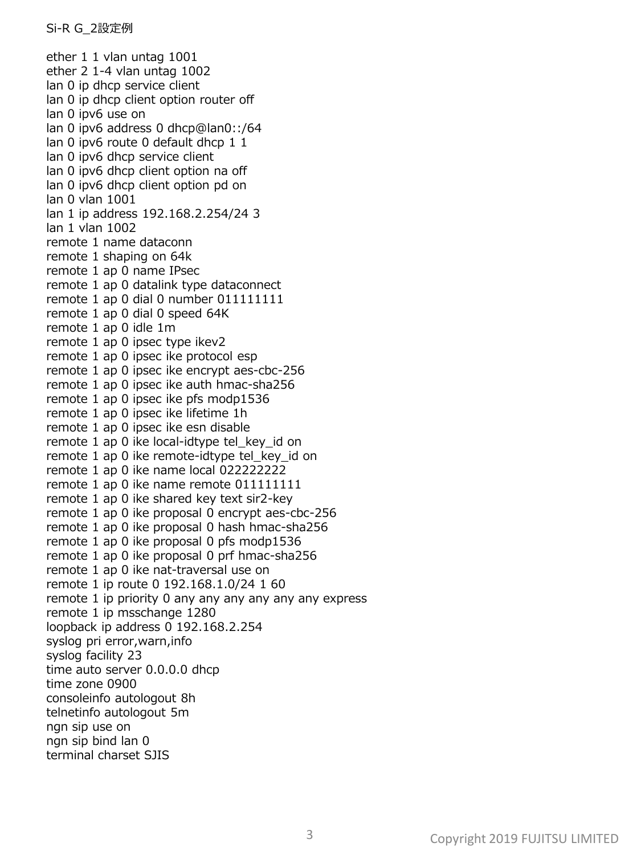ether 1 1 vlan untag 1001 ether 2 1-4 vlan untag 1002 lan 0 ip dhcp service client lan 0 ip dhcp client option router off lan 0 ipv6 use on lan 0 ipv6 address 0 dhcp@lan0::/64 lan 0 ipv6 route 0 default dhcp 1 1 lan 0 ipv6 dhcp service client lan 0 ipv6 dhcp client option na off lan 0 ipv6 dhcp client option pd on lan 0 vlan 1001 lan 1 ip address 192.168.2.254/24 3 lan 1 vlan 1002 remote 1 name dataconn remote 1 shaping on 64k remote 1 ap 0 name IPsec remote 1 ap 0 datalink type dataconnect remote 1 ap 0 dial 0 number 011111111 remote 1 ap 0 dial 0 speed 64K remote 1 ap 0 idle 1m remote 1 ap 0 ipsec type ikev2 remote 1 ap 0 ipsec ike protocol esp remote 1 ap 0 ipsec ike encrypt aes-cbc-256 remote 1 ap 0 ipsec ike auth hmac-sha256 remote 1 ap 0 ipsec ike pfs modp1536 remote 1 ap 0 ipsec ike lifetime 1h remote 1 ap 0 ipsec ike esn disable remote 1 ap 0 ike local-idtype tel\_key\_id on remote 1 ap 0 ike remote-idtype tel\_key\_id on remote 1 ap 0 ike name local 022222222 remote 1 ap 0 ike name remote 011111111 remote 1 ap 0 ike shared key text sir2-key remote 1 ap 0 ike proposal 0 encrypt aes-cbc-256 remote 1 ap 0 ike proposal 0 hash hmac-sha256 remote 1 ap 0 ike proposal 0 pfs modp1536 remote 1 ap 0 ike proposal 0 prf hmac-sha256 remote 1 ap 0 ike nat-traversal use on remote 1 ip route 0 192.168.1.0/24 1 60 remote 1 ip priority 0 any any any any any any express remote 1 ip msschange 1280 loopback ip address 0 192.168.2.254 syslog pri error,warn,info syslog facility 23 time auto server 0.0.0.0 dhcp time zone 0900 consoleinfo autologout 8h telnetinfo autologout 5m ngn sip use on ngn sip bind lan 0 terminal charset SJIS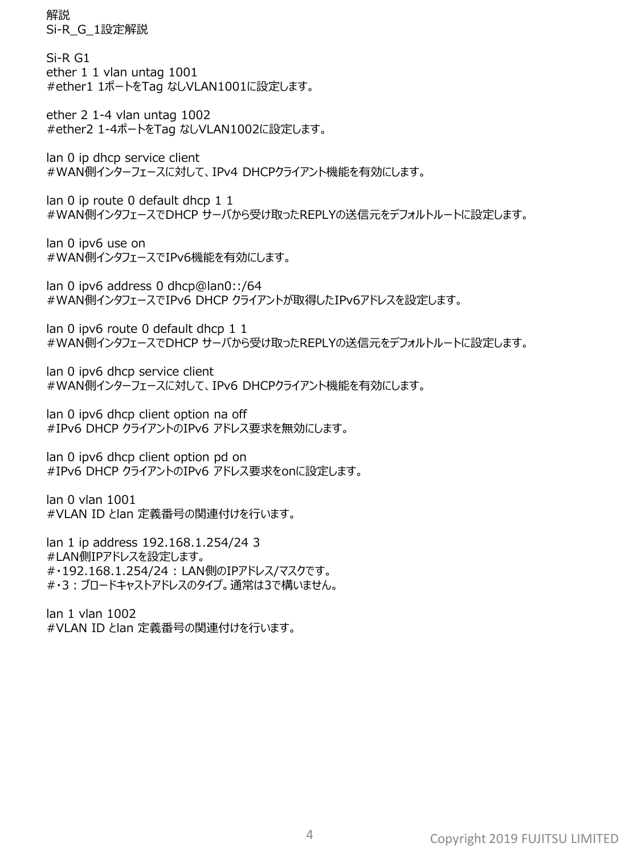解説 Si-R\_G\_1設定解説

Si-R G1 ether 1 1 vlan untag 1001 #ether1 1ポートをTag なしVLAN1001に設定します。

ether 2 1-4 vlan untag 1002 #ether2 1-4ポートをTag なしVLAN1002に設定します。

lan 0 ip dhcp service client #WAN側インターフェースに対して、IPv4 DHCPクライアント機能を有効にします。

lan 0 ip route 0 default dhcp 1 1 #WAN側インタフェースでDHCP サーバから受け取ったREPLYの送信元をデフォルトルートに設定します。

lan 0 ipv6 use on #WAN側インタフェースでIPv6機能を有効にします。

lan 0 ipv6 address 0 dhcp@lan0::/64 #WAN側インタフェースでIPv6 DHCP クライアントが取得したIPv6アドレスを設定します。

lan 0 ipv6 route 0 default dhcp 1 1 #WAN側インタフェースでDHCP サーバから受け取ったREPLYの送信元をデフォルトルートに設定します。

lan 0 ipv6 dhcp service client #WAN側インターフェースに対して、IPv6 DHCPクライアント機能を有効にします。

lan 0 ipv6 dhcp client option na off #IPv6 DHCP クライアントのIPv6 アドレス要求を無効にします。

lan 0 ipv6 dhcp client option pd on #IPv6 DHCP クライアントのIPv6 アドレス要求をonに設定します。

lan 0 vlan 1001 #VLAN ID とlan 定義番号の関連付けを行います。

lan 1 ip address 192.168.1.254/24 3 #LAN側IPアドレスを設定します。 #・192.168.1.254/24 : LAN側のIPアドレス/マスクです。 #・3:ブロードキャストアドレスのタイプ。通常は3で構いません。

lan 1 vlan 1002 #VLAN ID とlan 定義番号の関連付けを行います。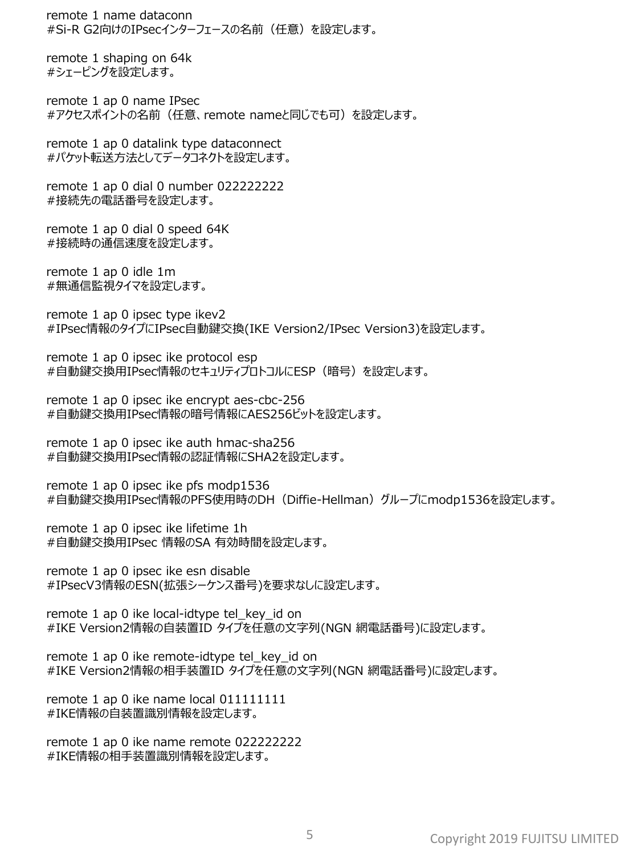remote 1 name dataconn #Si-R G2向けのIPsecインターフェースの名前(任意)を設定します。

remote 1 shaping on 64k #シェーピングを設定します。

remote 1 ap 0 name IPsec #アクセスポイントの名前(任意、remote nameと同じでも可)を設定します。

remote 1 ap 0 datalink type dataconnect #パケット転送方法としてデータコネクトを設定します。

remote 1 ap 0 dial 0 number 022222222 #接続先の電話番号を設定します。

remote 1 ap 0 dial 0 speed 64K #接続時の通信速度を設定します。

remote 1 ap 0 idle 1m #無通信監視タイマを設定します。

remote 1 ap 0 ipsec type ikev2 #IPsec情報のタイプにIPsec自動鍵交換(IKE Version2/IPsec Version3)を設定します。

remote 1 ap 0 ipsec ike protocol esp #自動鍵交換用IPsec情報のセキュリティプロトコルにESP(暗号)を設定します。

remote 1 ap 0 ipsec ike encrypt aes-cbc-256 #自動鍵交換用IPsec情報の暗号情報にAES256ビットを設定します。

remote 1 ap 0 ipsec ike auth hmac-sha256 #自動鍵交換用IPsec情報の認証情報にSHA2を設定します。

remote 1 ap 0 ipsec ike pfs modp1536 #自動鍵交換用IPsec情報のPFS使用時のDH(Diffie-Hellman)グループにmodp1536を設定します。

remote 1 ap 0 ipsec ike lifetime 1h #自動鍵交換用IPsec 情報のSA 有効時間を設定します。

remote 1 ap 0 ipsec ike esn disable #IPsecV3情報のESN(拡張シーケンス番号)を要求なしに設定します。

remote 1 ap 0 ike local-idtype tel\_key\_id on #IKE Version2情報の自装置ID タイプを任意の文字列(NGN 網電話番号)に設定します。

remote 1 ap 0 ike remote-idtype tel\_key\_id on #IKE Version2情報の相手装置ID タイプを任意の文字列(NGN 網電話番号)に設定します。

remote 1 ap 0 ike name local 011111111 #IKE情報の自装置識別情報を設定します。

remote 1 ap 0 ike name remote 022222222 #IKE情報の相手装置識別情報を設定します。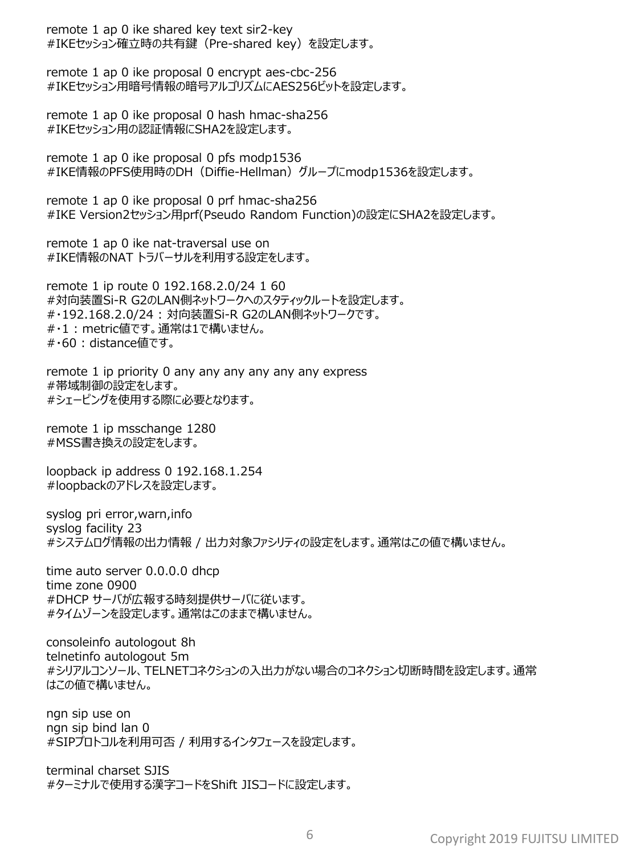remote 1 ap 0 ike shared key text sir2-key #IKEセッション確立時の共有鍵(Pre-shared key)を設定します。

remote 1 ap 0 ike proposal 0 encrypt aes-cbc-256 #IKEセッション用暗号情報の暗号アルゴリズムにAES256ビットを設定します。

remote 1 ap 0 ike proposal 0 hash hmac-sha256 #IKEセッション用の認証情報にSHA2を設定します。

remote 1 ap 0 ike proposal 0 pfs modp1536 #IKE情報のPFS使用時のDH(Diffie-Hellman)グループにmodp1536を設定します。

remote 1 ap 0 ike proposal 0 prf hmac-sha256 #IKE Version2セッション用prf(Pseudo Random Function)の設定にSHA2を設定します。

remote 1 ap 0 ike nat-traversal use on #IKE情報のNAT トラバーサルを利用する設定をします。

remote 1 ip route 0 192.168.2.0/24 1 60 #対向装置Si-R G2のLAN側ネットワークへのスタティックルートを設定します。 #・192.168.2.0/24 : 対向装置Si-R G2のLAN側ネットワークです。 #・1 : metric値です。通常は1で構いません。 #・60 : distance値です。

remote 1 ip priority 0 any any any any any any express #帯域制御の設定をします。 #シェーピングを使用する際に必要となります。

remote 1 ip msschange 1280 #MSS書き換えの設定をします。

loopback ip address 0 192.168.1.254 #loopbackのアドレスを設定します。

syslog pri error,warn,info syslog facility 23 #システムログ情報の出力情報 / 出力対象ファシリティの設定をします。通常はこの値で構いません。

time auto server 0.0.0.0 dhcp time zone 0900 #DHCP サーバが広報する時刻提供サーバに従います。 #タイムゾーンを設定します。通常はこのままで構いません。

consoleinfo autologout 8h telnetinfo autologout 5m #シリアルコンソール、TELNETコネクションの入出力がない場合のコネクション切断時間を設定します。通常 はこの値で構いません。

ngn sip use on ngn sip bind lan 0 #SIPプロトコルを利用可否 / 利用するインタフェースを設定します。

terminal charset SJIS #ターミナルで使用する漢字コードをShift JISコードに設定します。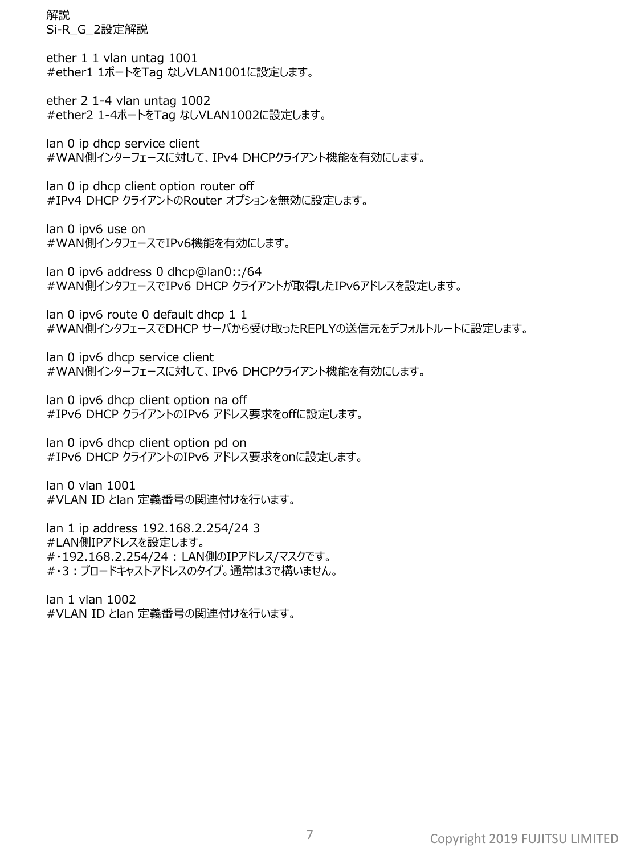解説 Si-R\_G\_2設定解説

ether 1 1 vlan untag 1001 #ether1 1ポートをTag なしVLAN1001に設定します。

ether 2 1-4 vlan untag 1002 #ether2 1-4ポートをTag なしVLAN1002に設定します。

lan 0 ip dhcp service client #WAN側インターフェースに対して、IPv4 DHCPクライアント機能を有効にします。

lan 0 ip dhcp client option router off #IPv4 DHCP クライアントのRouter オプションを無効に設定します。

lan 0 ipv6 use on #WAN側インタフェースでIPv6機能を有効にします。

lan 0 ipv6 address 0 dhcp@lan0::/64 #WAN側インタフェースでIPv6 DHCP クライアントが取得したIPv6アドレスを設定します。

lan 0 ipv6 route 0 default dhcp 1 1 #WAN側インタフェースでDHCP サーバから受け取ったREPLYの送信元をデフォルトルートに設定します。

lan 0 ipv6 dhcp service client #WAN側インターフェースに対して、IPv6 DHCPクライアント機能を有効にします。

lan 0 ipv6 dhcp client option na off #IPv6 DHCP クライアントのIPv6 アドレス要求をoffに設定します。

lan 0 ipv6 dhcp client option pd on #IPv6 DHCP クライアントのIPv6 アドレス要求をonに設定します。

lan 0 vlan 1001 #VLAN ID とlan 定義番号の関連付けを行います。

lan 1 ip address 192.168.2.254/24 3 #LAN側IPアドレスを設定します。 #・192.168.2.254/24 : LAN側のIPアドレス/マスクです。 #・3:ブロードキャストアドレスのタイプ。通常は3で構いません。

lan 1 vlan 1002 #VLAN ID とlan 定義番号の関連付けを行います。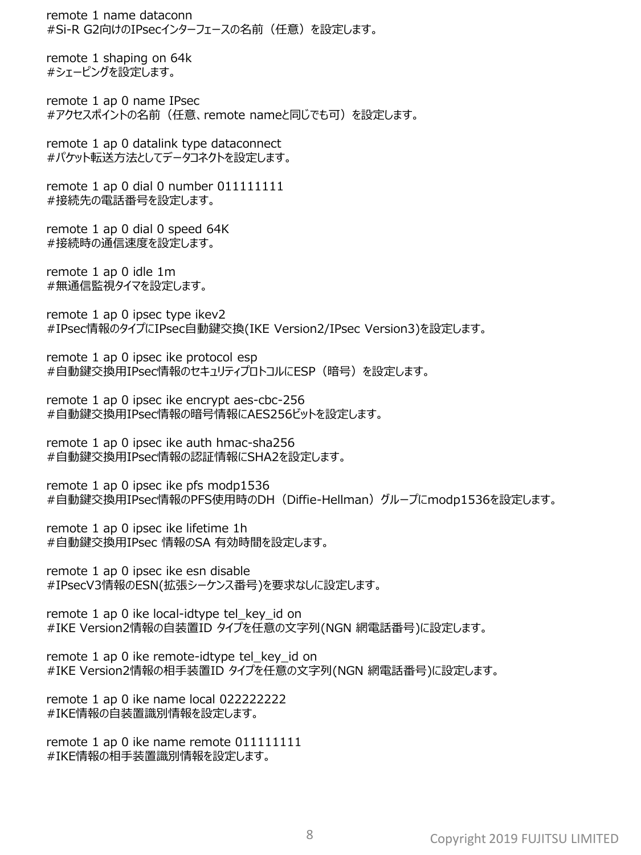remote 1 name dataconn #Si-R G2向けのIPsecインターフェースの名前(任意)を設定します。

remote 1 shaping on 64k #シェーピングを設定します。

remote 1 ap 0 name IPsec #アクセスポイントの名前(任意、remote nameと同じでも可)を設定します。

remote 1 ap 0 datalink type dataconnect #パケット転送方法としてデータコネクトを設定します。

remote 1 ap 0 dial 0 number 011111111 #接続先の電話番号を設定します。

remote 1 ap 0 dial 0 speed 64K #接続時の通信速度を設定します。

remote 1 ap 0 idle 1m #無通信監視タイマを設定します。

remote 1 ap 0 ipsec type ikev2 #IPsec情報のタイプにIPsec自動鍵交換(IKE Version2/IPsec Version3)を設定します。

remote 1 ap 0 ipsec ike protocol esp #自動鍵交換用IPsec情報のセキュリティプロトコルにESP(暗号)を設定します。

remote 1 ap 0 ipsec ike encrypt aes-cbc-256 #自動鍵交換用IPsec情報の暗号情報にAES256ビットを設定します。

remote 1 ap 0 ipsec ike auth hmac-sha256 #自動鍵交換用IPsec情報の認証情報にSHA2を設定します。

remote 1 ap 0 ipsec ike pfs modp1536 #自動鍵交換用IPsec情報のPFS使用時のDH(Diffie-Hellman)グループにmodp1536を設定します。

remote 1 ap 0 ipsec ike lifetime 1h #自動鍵交換用IPsec 情報のSA 有効時間を設定します。

remote 1 ap 0 ipsec ike esn disable #IPsecV3情報のESN(拡張シーケンス番号)を要求なしに設定します。

remote 1 ap 0 ike local-idtype tel\_key\_id on #IKE Version2情報の自装置ID タイプを任意の文字列(NGN 網電話番号)に設定します。

remote 1 ap 0 ike remote-idtype tel\_key\_id on #IKE Version2情報の相手装置ID タイプを任意の文字列(NGN 網電話番号)に設定します。

remote 1 ap 0 ike name local 022222222 #IKE情報の自装置識別情報を設定します。

remote 1 ap 0 ike name remote 011111111 #IKE情報の相手装置識別情報を設定します。